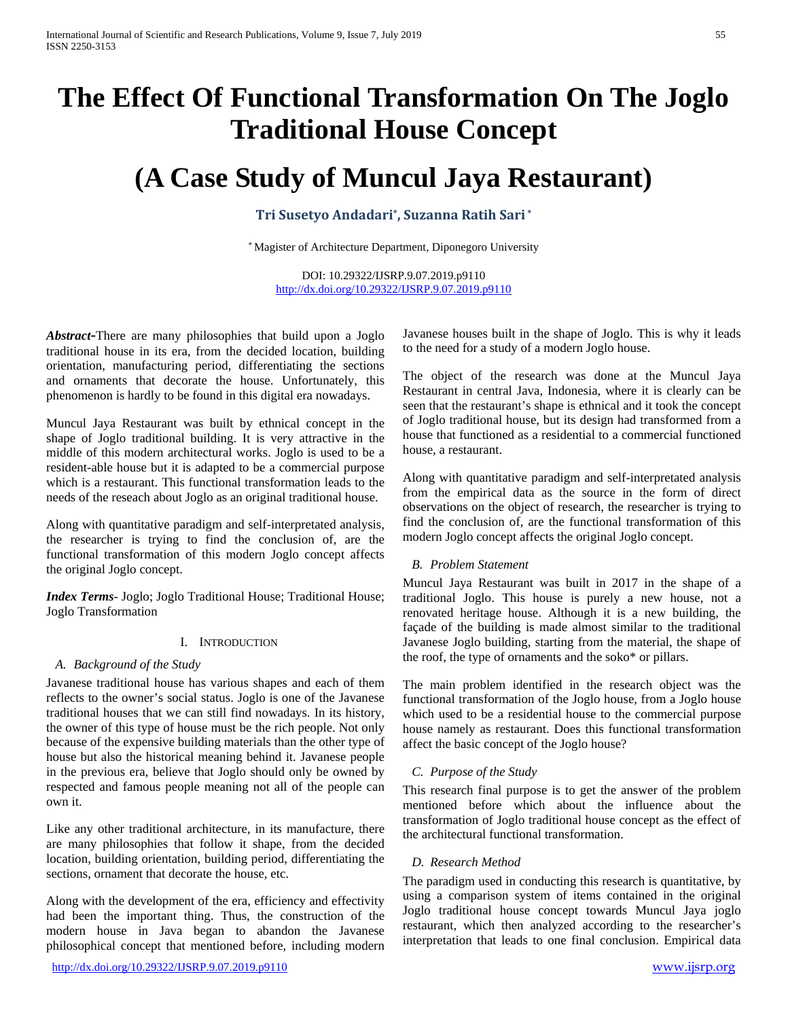# **The Effect Of Functional Transformation On The Joglo Traditional House Concept**

# **(A Case Study of Muncul Jaya Restaurant)**

# **Tri Susetyo Andadari\*, Suzanna Ratih Sari \***

\* Magister of Architecture Department, Diponegoro University

DOI: 10.29322/IJSRP.9.07.2019.p9110 <http://dx.doi.org/10.29322/IJSRP.9.07.2019.p9110>

*Abstract***-**There are many philosophies that build upon a Joglo traditional house in its era, from the decided location, building orientation, manufacturing period, differentiating the sections and ornaments that decorate the house. Unfortunately, this phenomenon is hardly to be found in this digital era nowadays.

Muncul Jaya Restaurant was built by ethnical concept in the shape of Joglo traditional building. It is very attractive in the middle of this modern architectural works. Joglo is used to be a resident-able house but it is adapted to be a commercial purpose which is a restaurant. This functional transformation leads to the needs of the reseach about Joglo as an original traditional house.

Along with quantitative paradigm and self-interpretated analysis, the researcher is trying to find the conclusion of, are the functional transformation of this modern Joglo concept affects the original Joglo concept.

*Index Terms*- Joglo; Joglo Traditional House; Traditional House; Joglo Transformation

### I. INTRODUCTION

### *A. Background of the Study*

Javanese traditional house has various shapes and each of them reflects to the owner's social status. Joglo is one of the Javanese traditional houses that we can still find nowadays. In its history, the owner of this type of house must be the rich people. Not only because of the expensive building materials than the other type of house but also the historical meaning behind it. Javanese people in the previous era, believe that Joglo should only be owned by respected and famous people meaning not all of the people can own it.

Like any other traditional architecture, in its manufacture, there are many philosophies that follow it shape, from the decided location, building orientation, building period, differentiating the sections, ornament that decorate the house, etc.

Along with the development of the era, efficiency and effectivity had been the important thing. Thus, the construction of the modern house in Java began to abandon the Javanese philosophical concept that mentioned before, including modern

Javanese houses built in the shape of Joglo. This is why it leads to the need for a study of a modern Joglo house.

The object of the research was done at the Muncul Jaya Restaurant in central Java, Indonesia, where it is clearly can be seen that the restaurant's shape is ethnical and it took the concept of Joglo traditional house, but its design had transformed from a house that functioned as a residential to a commercial functioned house, a restaurant.

Along with quantitative paradigm and self-interpretated analysis from the empirical data as the source in the form of direct observations on the object of research, the researcher is trying to find the conclusion of, are the functional transformation of this modern Joglo concept affects the original Joglo concept.

### *B. Problem Statement*

Muncul Jaya Restaurant was built in 2017 in the shape of a traditional Joglo. This house is purely a new house, not a renovated heritage house. Although it is a new building, the façade of the building is made almost similar to the traditional Javanese Joglo building, starting from the material, the shape of the roof, the type of ornaments and the soko\* or pillars.

The main problem identified in the research object was the functional transformation of the Joglo house, from a Joglo house which used to be a residential house to the commercial purpose house namely as restaurant. Does this functional transformation affect the basic concept of the Joglo house?

## *C. Purpose of the Study*

This research final purpose is to get the answer of the problem mentioned before which about the influence about the transformation of Joglo traditional house concept as the effect of the architectural functional transformation.

### *D. Research Method*

The paradigm used in conducting this research is quantitative, by using a comparison system of items contained in the original Joglo traditional house concept towards Muncul Jaya joglo restaurant, which then analyzed according to the researcher's interpretation that leads to one final conclusion. Empirical data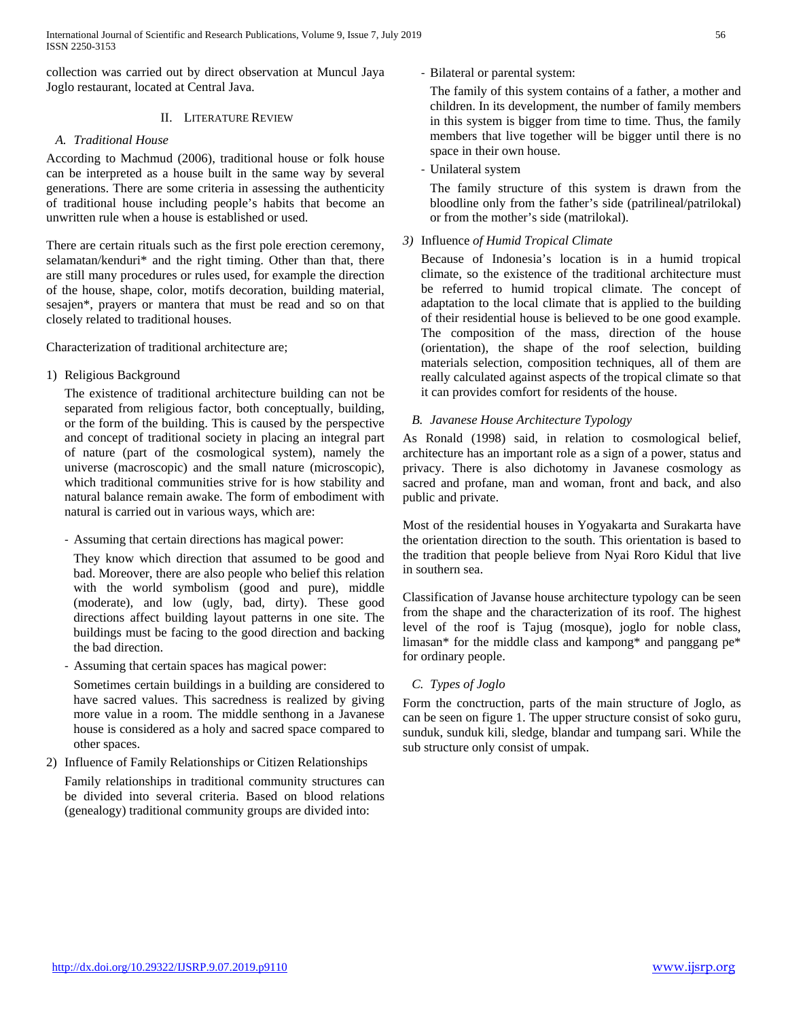collection was carried out by direct observation at Muncul Jaya Joglo restaurant, located at Central Java.

## II. LITERATURE REVIEW

## *A. Traditional House*

According to Machmud (2006), traditional house or folk house can be interpreted as a house built in the same way by several generations. There are some criteria in assessing the authenticity of traditional house including people's habits that become an unwritten rule when a house is established or used.

There are certain rituals such as the first pole erection ceremony, selamatan/kenduri\* and the right timing. Other than that, there are still many procedures or rules used, for example the direction of the house, shape, color, motifs decoration, building material, sesajen\*, prayers or mantera that must be read and so on that closely related to traditional houses.

Characterization of traditional architecture are;

1) Religious Background

The existence of traditional architecture building can not be separated from religious factor, both conceptually, building, or the form of the building. This is caused by the perspective and concept of traditional society in placing an integral part of nature (part of the cosmological system), namely the universe (macroscopic) and the small nature (microscopic), which traditional communities strive for is how stability and natural balance remain awake. The form of embodiment with natural is carried out in various ways, which are:

- Assuming that certain directions has magical power:

They know which direction that assumed to be good and bad. Moreover, there are also people who belief this relation with the world symbolism (good and pure), middle (moderate), and low (ugly, bad, dirty). These good directions affect building layout patterns in one site. The buildings must be facing to the good direction and backing the bad direction.

Assuming that certain spaces has magical power:

Sometimes certain buildings in a building are considered to have sacred values. This sacredness is realized by giving more value in a room. The middle senthong in a Javanese house is considered as a holy and sacred space compared to other spaces.

2) Influence of Family Relationships or Citizen Relationships

Family relationships in traditional community structures can be divided into several criteria. Based on blood relations (genealogy) traditional community groups are divided into:

- Bilateral or parental system:

The family of this system contains of a father, a mother and children. In its development, the number of family members in this system is bigger from time to time. Thus, the family members that live together will be bigger until there is no space in their own house.

- Unilateral system

The family structure of this system is drawn from the bloodline only from the father's side (patrilineal/patrilokal) or from the mother's side (matrilokal).

## *3)* Influence *of Humid Tropical Climate*

Because of Indonesia's location is in a humid tropical climate, so the existence of the traditional architecture must be referred to humid tropical climate. The concept of adaptation to the local climate that is applied to the building of their residential house is believed to be one good example. The composition of the mass, direction of the house (orientation), the shape of the roof selection, building materials selection, composition techniques, all of them are really calculated against aspects of the tropical climate so that it can provides comfort for residents of the house.

## *B. Javanese House Architecture Typology*

As Ronald (1998) said, in relation to cosmological belief, architecture has an important role as a sign of a power, status and privacy. There is also dichotomy in Javanese cosmology as sacred and profane, man and woman, front and back, and also public and private.

Most of the residential houses in Yogyakarta and Surakarta have the orientation direction to the south. This orientation is based to the tradition that people believe from Nyai Roro Kidul that live in southern sea.

Classification of Javanse house architecture typology can be seen from the shape and the characterization of its roof. The highest level of the roof is Tajug (mosque), joglo for noble class, limasan\* for the middle class and kampong\* and panggang pe\* for ordinary people.

## *C. Types of Joglo*

Form the conctruction, parts of the main structure of Joglo, as can be seen on figure 1. The upper structure consist of soko guru, sunduk, sunduk kili, sledge, blandar and tumpang sari. While the sub structure only consist of umpak.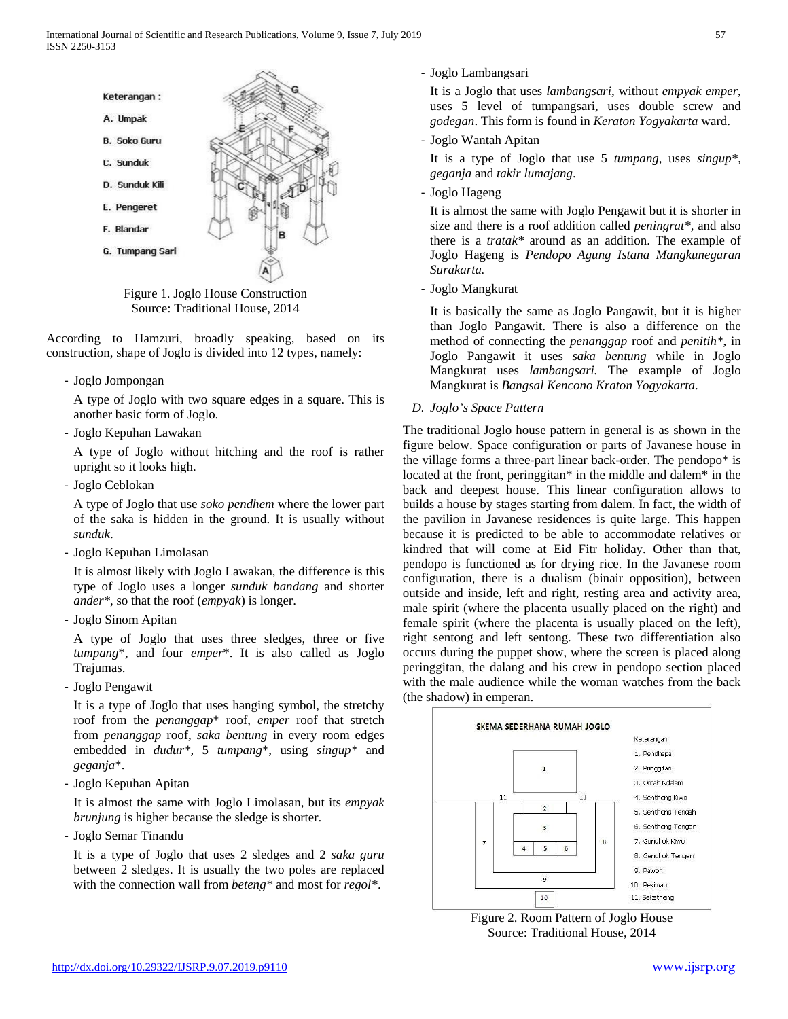

Figure 1. Joglo House Construction Source: Traditional House, 2014

According to Hamzuri, broadly speaking, based on its construction, shape of Joglo is divided into 12 types, namely:

- Joglo Jompongan

A type of Joglo with two square edges in a square. This is another basic form of Joglo.

- Joglo Kepuhan Lawakan

A type of Joglo without hitching and the roof is rather upright so it looks high.

- Joglo Ceblokan

A type of Joglo that use *soko pendhem* where the lower part of the saka is hidden in the ground. It is usually without *sunduk*.

- Joglo Kepuhan Limolasan

It is almost likely with Joglo Lawakan, the difference is this type of Joglo uses a longer *sunduk bandang* and shorter *ander\**, so that the roof (*empyak*) is longer.

- Joglo Sinom Apitan

A type of Joglo that uses three sledges, three or five *tumpang*\*, and four *emper*\*. It is also called as Joglo Trajumas.

- Joglo Pengawit

It is a type of Joglo that uses hanging symbol, the stretchy roof from the *penanggap*\* roof, *emper* roof that stretch from *penanggap* roof, *saka bentung* in every room edges embedded in *dudur\*,* 5 *tumpang*\*, using *singup\** and *geganja*\*.

- Joglo Kepuhan Apitan

It is almost the same with Joglo Limolasan, but its *empyak brunjung* is higher because the sledge is shorter.

- Joglo Semar Tinandu

It is a type of Joglo that uses 2 sledges and 2 *saka guru* between 2 sledges. It is usually the two poles are replaced with the connection wall from *beteng\** and most for *regol\**.

- Joglo Lambangsari

It is a Joglo that uses *lambangsari*, without *empyak emper*, uses 5 level of tumpangsari, uses double screw and *godegan*. This form is found in *Keraton Yogyakarta* ward.

- Joglo Wantah Apitan

It is a type of Joglo that use 5 *tumpang*, uses *singup\**, *geganja* and *takir lumajang*.

- Joglo Hageng

It is almost the same with Joglo Pengawit but it is shorter in size and there is a roof addition called *peningrat\*,* and also there is a *tratak\** around as an addition. The example of Joglo Hageng is *Pendopo Agung Istana Mangkunegaran Surakarta.*

- Joglo Mangkurat

It is basically the same as Joglo Pangawit, but it is higher than Joglo Pangawit. There is also a difference on the method of connecting the *penanggap* roof and *penitih\**, in Joglo Pangawit it uses *saka bentung* while in Joglo Mangkurat uses *lambangsari.* The example of Joglo Mangkurat is *Bangsal Kencono Kraton Yogyakarta*.

*D. Joglo's Space Pattern*

The traditional Joglo house pattern in general is as shown in the figure below. Space configuration or parts of Javanese house in the village forms a three-part linear back-order. The pendopo\* is located at the front, peringgitan\* in the middle and dalem\* in the back and deepest house. This linear configuration allows to builds a house by stages starting from dalem. In fact, the width of the pavilion in Javanese residences is quite large. This happen because it is predicted to be able to accommodate relatives or kindred that will come at Eid Fitr holiday. Other than that, pendopo is functioned as for drying rice. In the Javanese room configuration, there is a dualism (binair opposition), between outside and inside, left and right, resting area and activity area, male spirit (where the placenta usually placed on the right) and female spirit (where the placenta is usually placed on the left), right sentong and left sentong. These two differentiation also occurs during the puppet show, where the screen is placed along peringgitan, the dalang and his crew in pendopo section placed with the male audience while the woman watches from the back (the shadow) in emperan.



Figure 2. Room Pattern of Joglo House Source: Traditional House, 2014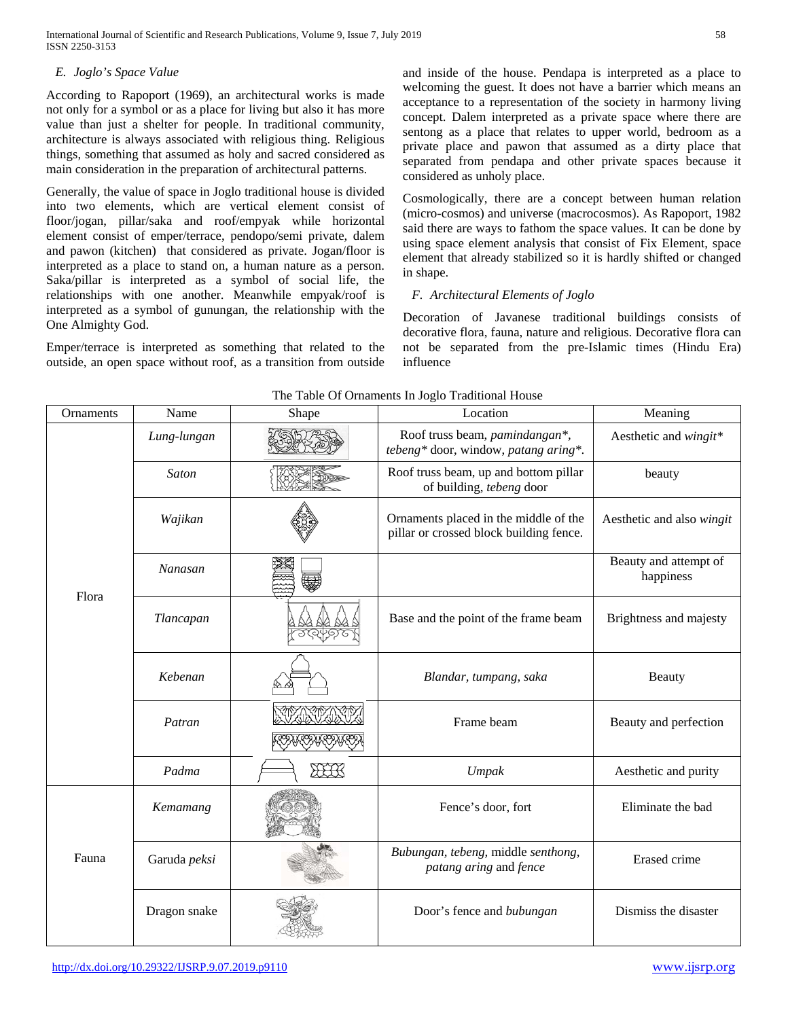International Journal of Scientific and Research Publications, Volume 9, Issue 7, July 2019 58 ISSN 2250-3153

#### *E. Joglo's Space Value*

According to Rapoport (1969), an architectural works is made not only for a symbol or as a place for living but also it has more value than just a shelter for people. In traditional community, architecture is always associated with religious thing. Religious things, something that assumed as holy and sacred considered as main consideration in the preparation of architectural patterns.

Generally, the value of space in Joglo traditional house is divided into two elements, which are vertical element consist of floor/jogan, pillar/saka and roof/empyak while horizontal element consist of emper/terrace, pendopo/semi private, dalem and pawon (kitchen) that considered as private. Jogan/floor is interpreted as a place to stand on, a human nature as a person. Saka/pillar is interpreted as a symbol of social life, the relationships with one another. Meanwhile empyak/roof is interpreted as a symbol of gunungan, the relationship with the One Almighty God.

Emper/terrace is interpreted as something that related to the outside, an open space without roof, as a transition from outside and inside of the house. Pendapa is interpreted as a place to welcoming the guest. It does not have a barrier which means an acceptance to a representation of the society in harmony living concept. Dalem interpreted as a private space where there are sentong as a place that relates to upper world, bedroom as a private place and pawon that assumed as a dirty place that separated from pendapa and other private spaces because it considered as unholy place.

Cosmologically, there are a concept between human relation (micro-cosmos) and universe (macrocosmos). As Rapoport, 1982 said there are ways to fathom the space values. It can be done by using space element analysis that consist of Fix Element, space element that already stabilized so it is hardly shifted or changed in shape.

#### *F. Architectural Elements of Joglo*

Decoration of Javanese traditional buildings consists of decorative flora, fauna, nature and religious. Decorative flora can not be separated from the pre-Islamic times (Hindu Era) influence

| Ornaments | Name         | Shape | The Tuble of Officiality in Jogio Traditional House<br>Location                  | Meaning                            |
|-----------|--------------|-------|----------------------------------------------------------------------------------|------------------------------------|
|           | Lung-lungan  |       | Roof truss beam, pamindangan*,<br>tebeng* door, window, patang aring*.           | Aesthetic and wingit*              |
|           | <b>Saton</b> |       | Roof truss beam, up and bottom pillar<br>of building, tebeng door                | beauty                             |
|           | Wajikan      |       | Ornaments placed in the middle of the<br>pillar or crossed block building fence. | Aesthetic and also wingit          |
|           | Nanasan      |       |                                                                                  | Beauty and attempt of<br>happiness |
| Flora     | Tlancapan    |       | Base and the point of the frame beam                                             | Brightness and majesty             |
|           | Kebenan      |       | Blandar, tumpang, saka                                                           | Beauty                             |
|           | Patran       |       | Frame beam                                                                       | Beauty and perfection              |
|           | Padma        | HH    | Umpak                                                                            | Aesthetic and purity               |
|           | Kemamang     |       | Fence's door, fort                                                               | Eliminate the bad                  |
| Fauna     | Garuda peksi |       | Bubungan, tebeng, middle senthong,<br>patang aring and fence                     | Erased crime                       |
|           | Dragon snake |       | Door's fence and bubungan                                                        | Dismiss the disaster               |

## The Table Of Ornaments In Joglo Traditional House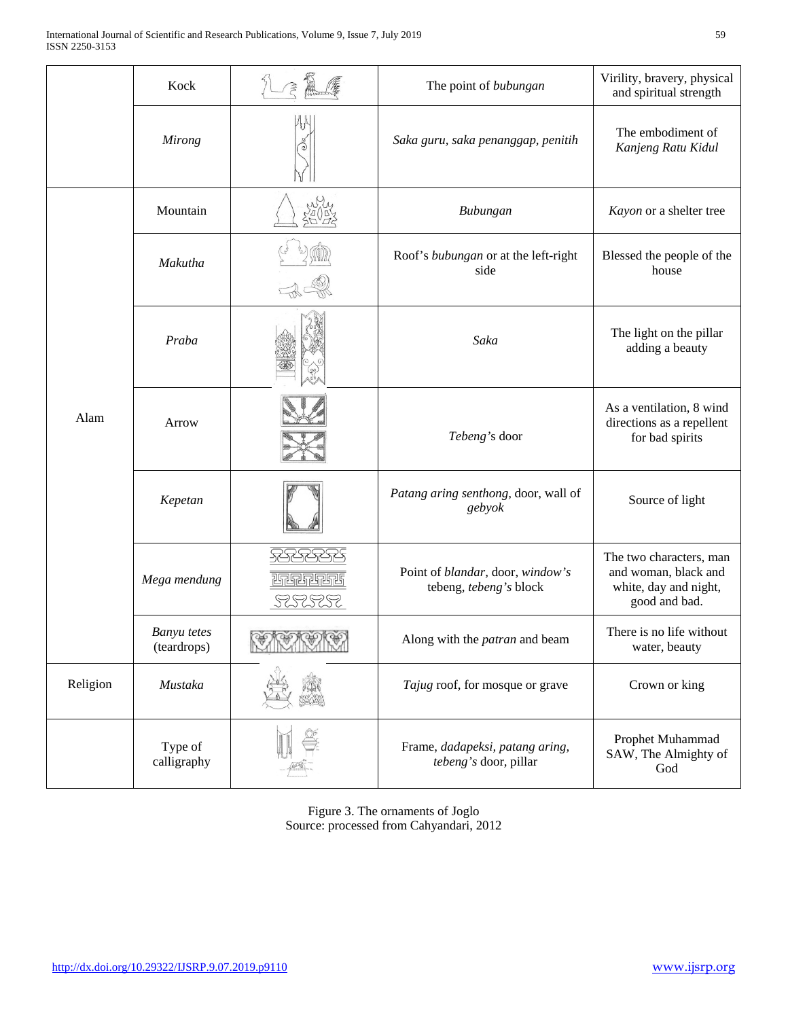|          | Kock                              |                                   | The point of bubungan                                      | Virility, bravery, physical<br>and spiritual strength                                     |  |
|----------|-----------------------------------|-----------------------------------|------------------------------------------------------------|-------------------------------------------------------------------------------------------|--|
|          | <b>Mirong</b>                     |                                   | Saka guru, saka penanggap, penitih                         | The embodiment of<br>Kanjeng Ratu Kidul                                                   |  |
|          | Mountain                          |                                   | Bubungan                                                   | Kayon or a shelter tree                                                                   |  |
|          | Makutha                           |                                   | Roof's bubungan or at the left-right<br>side               | Blessed the people of the<br>house                                                        |  |
| Alam     | Praba                             |                                   | Saka                                                       | The light on the pillar<br>adding a beauty                                                |  |
|          | Arrow                             |                                   | Tebeng's door                                              | As a ventilation, 8 wind<br>directions as a repellent<br>for bad spirits                  |  |
|          | Kepetan                           |                                   | Patang aring senthong, door, wall of<br>gebyok             | Source of light                                                                           |  |
|          | Mega mendung                      | ख्तुराजुल पुरुष<br><u> SESSES</u> | Point of blandar, door, window's<br>tebeng, tebeng's block | The two characters, man<br>and woman, black and<br>white, day and night,<br>good and bad. |  |
|          | <b>Banyu</b> tetes<br>(teardrops) | <u>SERBICI</u>                    | Along with the <i>patran</i> and beam                      | There is no life without<br>water, beauty                                                 |  |
| Religion | Mustaka                           |                                   | Tajug roof, for mosque or grave                            | Crown or king                                                                             |  |
|          | Type of<br>calligraphy            |                                   | Frame, dadapeksi, patang aring,<br>tebeng's door, pillar   | Prophet Muhammad<br>SAW, The Almighty of<br>God                                           |  |

Figure 3. The ornaments of Joglo Source: processed from Cahyandari, 2012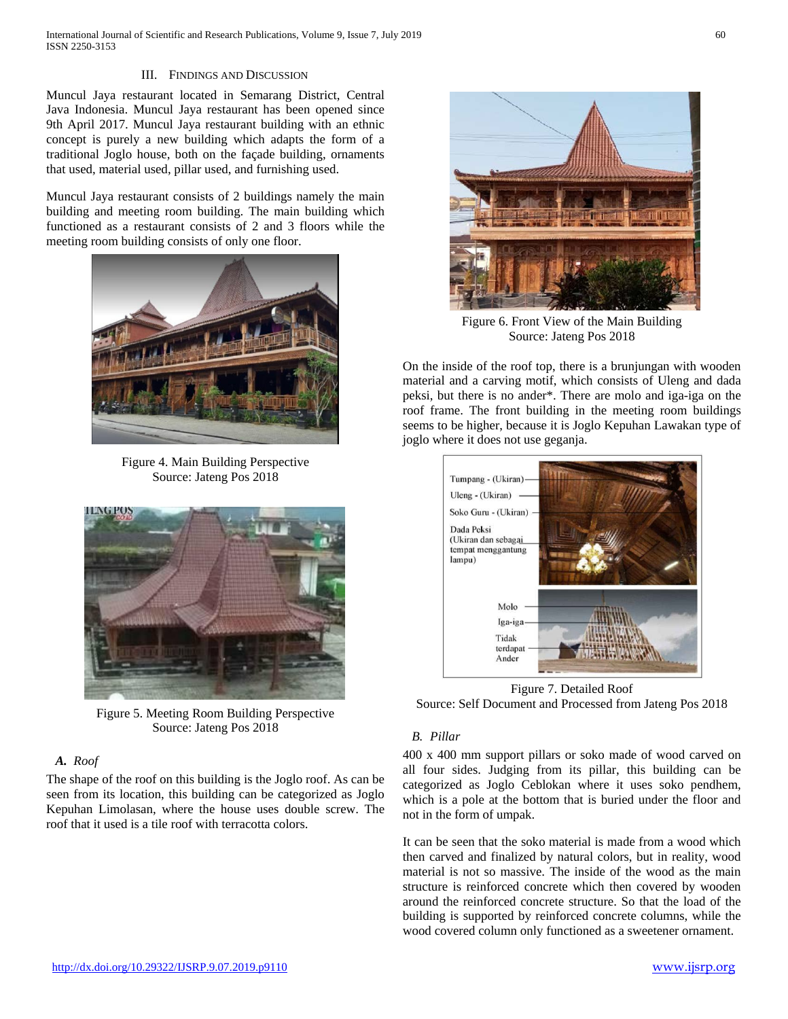International Journal of Scientific and Research Publications, Volume 9, Issue 7, July 2019 60 ISSN 2250-3153

#### III. FINDINGS AND DISCUSSION

Muncul Jaya restaurant located in Semarang District, Central Java Indonesia. Muncul Jaya restaurant has been opened since 9th April 2017. Muncul Jaya restaurant building with an ethnic concept is purely a new building which adapts the form of a traditional Joglo house, both on the façade building, ornaments that used, material used, pillar used, and furnishing used.

Muncul Jaya restaurant consists of 2 buildings namely the main building and meeting room building. The main building which functioned as a restaurant consists of 2 and 3 floors while the meeting room building consists of only one floor.



Figure 4. Main Building Perspective Source: Jateng Pos 2018



Figure 5. Meeting Room Building Perspective Source: Jateng Pos 2018

## *A. Roof*

The shape of the roof on this building is the Joglo roof. As can be seen from its location, this building can be categorized as Joglo Kepuhan Limolasan, where the house uses double screw. The roof that it used is a tile roof with terracotta colors.



Figure 6. Front View of the Main Building Source: Jateng Pos 2018

On the inside of the roof top, there is a brunjungan with wooden material and a carving motif, which consists of Uleng and dada peksi, but there is no ander\*. There are molo and iga-iga on the roof frame. The front building in the meeting room buildings seems to be higher, because it is Joglo Kepuhan Lawakan type of joglo where it does not use geganja.



Figure 7. Detailed Roof Source: Self Document and Processed from Jateng Pos 2018

#### *B. Pillar*

400 x 400 mm support pillars or soko made of wood carved on all four sides. Judging from its pillar, this building can be categorized as Joglo Ceblokan where it uses soko pendhem, which is a pole at the bottom that is buried under the floor and not in the form of umpak.

It can be seen that the soko material is made from a wood which then carved and finalized by natural colors, but in reality, wood material is not so massive. The inside of the wood as the main structure is reinforced concrete which then covered by wooden around the reinforced concrete structure. So that the load of the building is supported by reinforced concrete columns, while the wood covered column only functioned as a sweetener ornament.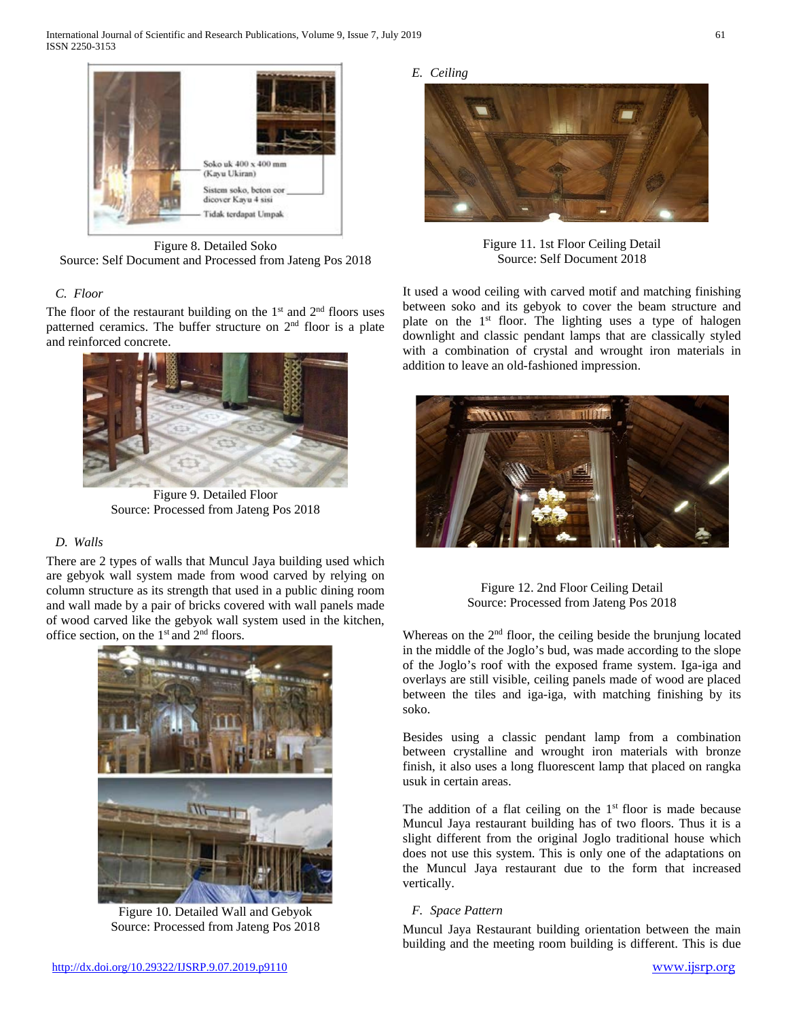

Figure 8. Detailed Soko Source: Self Document and Processed from Jateng Pos 2018

# *C. Floor*

The floor of the restaurant building on the  $1<sup>st</sup>$  and  $2<sup>nd</sup>$  floors uses patterned ceramics. The buffer structure on 2nd floor is a plate and reinforced concrete.



Figure 9. Detailed Floor Source: Processed from Jateng Pos 2018

## *D. Walls*

There are 2 types of walls that Muncul Jaya building used which are gebyok wall system made from wood carved by relying on column structure as its strength that used in a public dining room and wall made by a pair of bricks covered with wall panels made of wood carved like the gebyok wall system used in the kitchen, office section, on the  $1<sup>st</sup>$  and  $2<sup>nd</sup>$  floors.



Figure 10. Detailed Wall and Gebyok Source: Processed from Jateng Pos 2018

*E. Ceiling*



Figure 11. 1st Floor Ceiling Detail Source: Self Document 2018

It used a wood ceiling with carved motif and matching finishing between soko and its gebyok to cover the beam structure and plate on the  $1<sup>st</sup>$  floor. The lighting uses a type of halogen downlight and classic pendant lamps that are classically styled with a combination of crystal and wrought iron materials in addition to leave an old-fashioned impression.



Figure 12. 2nd Floor Ceiling Detail Source: Processed from Jateng Pos 2018

Whereas on the  $2<sup>nd</sup>$  floor, the ceiling beside the brunjung located in the middle of the Joglo's bud, was made according to the slope of the Joglo's roof with the exposed frame system. Iga-iga and overlays are still visible, ceiling panels made of wood are placed between the tiles and iga-iga, with matching finishing by its soko.

Besides using a classic pendant lamp from a combination between crystalline and wrought iron materials with bronze finish, it also uses a long fluorescent lamp that placed on rangka usuk in certain areas.

The addition of a flat ceiling on the  $1<sup>st</sup>$  floor is made because Muncul Jaya restaurant building has of two floors. Thus it is a slight different from the original Joglo traditional house which does not use this system. This is only one of the adaptations on the Muncul Jaya restaurant due to the form that increased vertically.

## *F. Space Pattern*

Muncul Jaya Restaurant building orientation between the main building and the meeting room building is different. This is due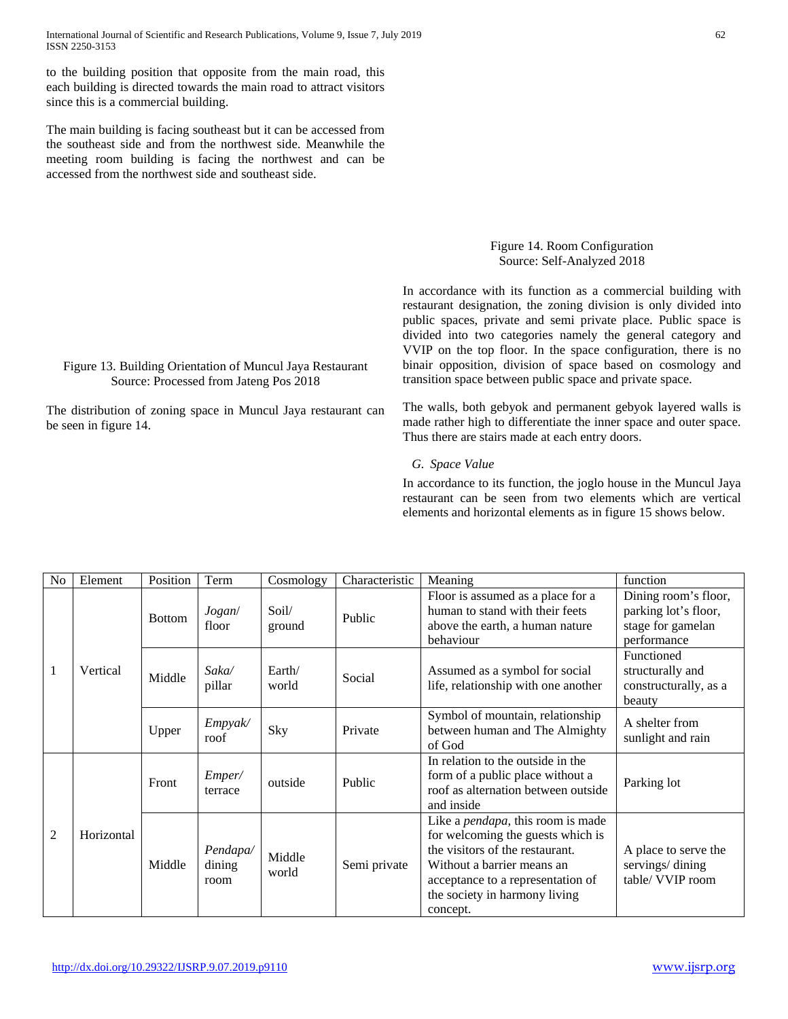to the building position that opposite from the main road, this each building is directed towards the main road to attract visitors since this is a commercial building.

The main building is facing southeast but it can be accessed from the southeast side and from the northwest side. Meanwhile the meeting room building is facing the northwest and can be accessed from the northwest side and southeast side.

Figure 13. Building Orientation of Muncul Jaya Restaurant Source: Processed from Jateng Pos 2018

be seen in figure 14.

## Figure 14. Room Configuration Source: Self-Analyzed 2018

In accordance with its function as a commercial building with restaurant designation, the zoning division is only divided into public spaces, private and semi private place. Public space is divided into two categories namely the general category and VVIP on the top floor. In the space configuration, there is no binair opposition, division of space based on cosmology and transition space between public space and private space.

The distribution of zoning space in Muncul Jaya restaurant can The walls, both gebyok and permanent gebyok layered walls is made rather high to differentiate the inner space and outer space. Thus there are stairs made at each entry doors.

#### *G. Space Value*

In accordance to its function, the joglo house in the Muncul Jaya restaurant can be seen from two elements which are vertical elements and horizontal elements as in figure 15 shows below.

| N <sub>o</sub> | Element    | Position      | Term                       | Cosmology       | Characteristic | Meaning                                                                                                                                                                                                                           | function                                                                         |
|----------------|------------|---------------|----------------------------|-----------------|----------------|-----------------------------------------------------------------------------------------------------------------------------------------------------------------------------------------------------------------------------------|----------------------------------------------------------------------------------|
| 1              | Vertical   | <b>Bottom</b> | Jogan/<br>floor            | Soil/<br>ground | Public         | Floor is assumed as a place for a<br>human to stand with their feets<br>above the earth, a human nature<br>behaviour                                                                                                              | Dining room's floor,<br>parking lot's floor,<br>stage for gamelan<br>performance |
|                |            | Middle        | Saka/<br>pillar            | Earth/<br>world | Social         | Assumed as a symbol for social<br>life, relationship with one another                                                                                                                                                             | Functioned<br>structurally and<br>constructurally, as a<br>beauty                |
|                |            | Upper         | Empyak/<br>roof            | Sky             | Private        | Symbol of mountain, relationship<br>between human and The Almighty<br>of God                                                                                                                                                      | A shelter from<br>sunlight and rain                                              |
| $\overline{2}$ | Horizontal | Front         | Emper/<br>terrace          | outside         | Public         | In relation to the outside in the<br>form of a public place without a<br>roof as alternation between outside<br>and inside                                                                                                        | Parking lot                                                                      |
|                |            | Middle        | Pendapa/<br>dining<br>room | Middle<br>world | Semi private   | Like a <i>pendapa</i> , this room is made<br>for welcoming the guests which is<br>the visitors of the restaurant.<br>Without a barrier means an<br>acceptance to a representation of<br>the society in harmony living<br>concept. | A place to serve the<br>servings/dining<br>table/ VVIP room                      |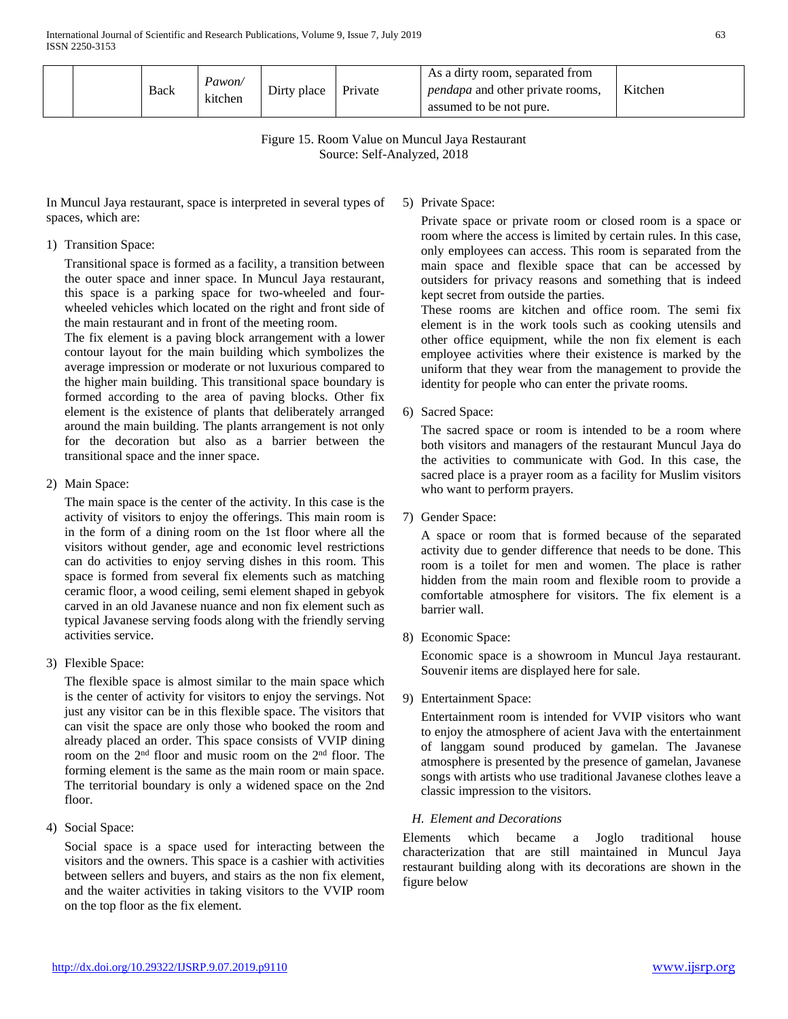|  |  | <b>Back</b> | Pawon/<br>kitchen | Dirty place | Private | As a dirty room, separated from<br><i>pendapa</i> and other private rooms,<br>assumed to be not pure. | Kitchen |
|--|--|-------------|-------------------|-------------|---------|-------------------------------------------------------------------------------------------------------|---------|
|--|--|-------------|-------------------|-------------|---------|-------------------------------------------------------------------------------------------------------|---------|

Figure 15. Room Value on Muncul Jaya Restaurant Source: Self-Analyzed, 2018

In Muncul Jaya restaurant, space is interpreted in several types of spaces, which are:

### 1) Transition Space:

Transitional space is formed as a facility, a transition between the outer space and inner space. In Muncul Jaya restaurant, this space is a parking space for two-wheeled and fourwheeled vehicles which located on the right and front side of the main restaurant and in front of the meeting room.

The fix element is a paving block arrangement with a lower contour layout for the main building which symbolizes the average impression or moderate or not luxurious compared to the higher main building. This transitional space boundary is formed according to the area of paving blocks. Other fix element is the existence of plants that deliberately arranged around the main building. The plants arrangement is not only for the decoration but also as a barrier between the transitional space and the inner space.

2) Main Space:

The main space is the center of the activity. In this case is the activity of visitors to enjoy the offerings. This main room is in the form of a dining room on the 1st floor where all the visitors without gender, age and economic level restrictions can do activities to enjoy serving dishes in this room. This space is formed from several fix elements such as matching ceramic floor, a wood ceiling, semi element shaped in gebyok carved in an old Javanese nuance and non fix element such as typical Javanese serving foods along with the friendly serving activities service.

3) Flexible Space:

The flexible space is almost similar to the main space which is the center of activity for visitors to enjoy the servings. Not just any visitor can be in this flexible space. The visitors that can visit the space are only those who booked the room and already placed an order. This space consists of VVIP dining room on the 2nd floor and music room on the 2nd floor. The forming element is the same as the main room or main space. The territorial boundary is only a widened space on the 2nd floor.

4) Social Space:

Social space is a space used for interacting between the visitors and the owners. This space is a cashier with activities between sellers and buyers, and stairs as the non fix element, and the waiter activities in taking visitors to the VVIP room on the top floor as the fix element.

5) Private Space:

Private space or private room or closed room is a space or room where the access is limited by certain rules. In this case, only employees can access. This room is separated from the main space and flexible space that can be accessed by outsiders for privacy reasons and something that is indeed kept secret from outside the parties.

These rooms are kitchen and office room. The semi fix element is in the work tools such as cooking utensils and other office equipment, while the non fix element is each employee activities where their existence is marked by the uniform that they wear from the management to provide the identity for people who can enter the private rooms.

6) Sacred Space:

The sacred space or room is intended to be a room where both visitors and managers of the restaurant Muncul Jaya do the activities to communicate with God. In this case, the sacred place is a prayer room as a facility for Muslim visitors who want to perform prayers.

7) Gender Space:

A space or room that is formed because of the separated activity due to gender difference that needs to be done. This room is a toilet for men and women. The place is rather hidden from the main room and flexible room to provide a comfortable atmosphere for visitors. The fix element is a barrier wall.

8) Economic Space:

Economic space is a showroom in Muncul Jaya restaurant. Souvenir items are displayed here for sale.

9) Entertainment Space:

Entertainment room is intended for VVIP visitors who want to enjoy the atmosphere of acient Java with the entertainment of langgam sound produced by gamelan. The Javanese atmosphere is presented by the presence of gamelan, Javanese songs with artists who use traditional Javanese clothes leave a classic impression to the visitors.

## *H. Element and Decorations*

Elements which became a Joglo traditional house characterization that are still maintained in Muncul Jaya restaurant building along with its decorations are shown in the figure below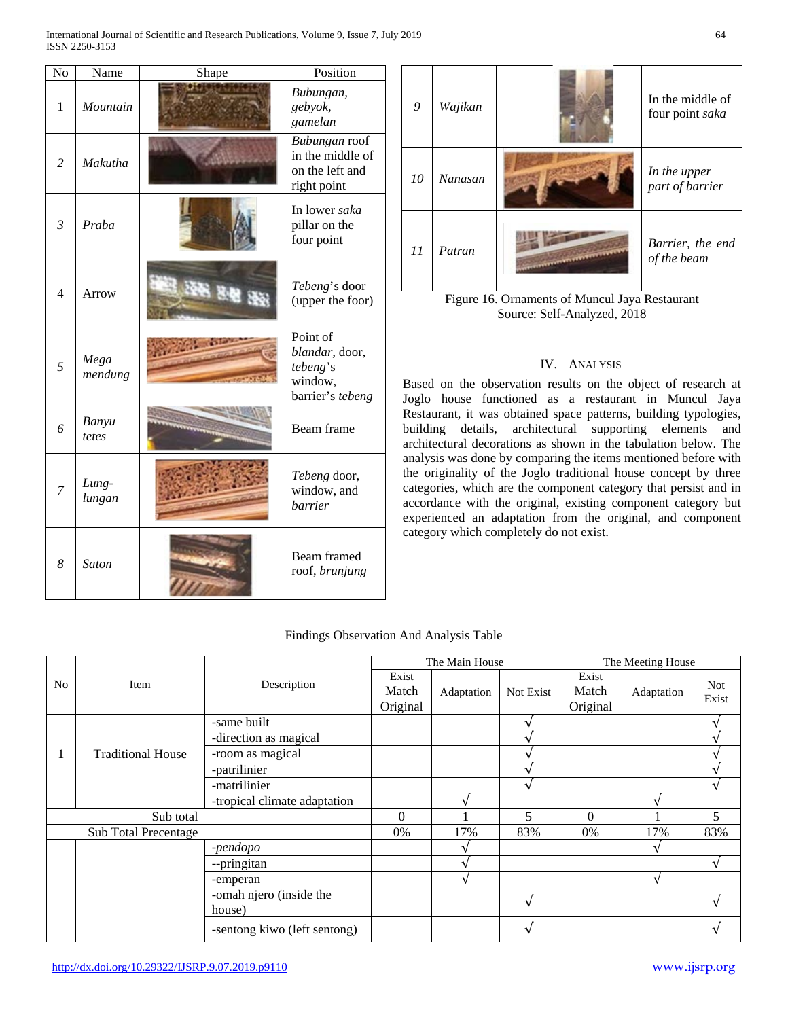International Journal of Scientific and Research Publications, Volume 9, Issue 7, July 2019 64 ISSN 2250-3153

| No             | Name            | Shape | Position                                                              |
|----------------|-----------------|-------|-----------------------------------------------------------------------|
| 1              | Mountain        |       | Bubungan,<br>gebyok,<br>gamelan                                       |
| $\overline{2}$ | Makutha         |       | Bubungan roof<br>in the middle of<br>on the left and<br>right point   |
| $\mathfrak{Z}$ | Praba           |       | In lower saka<br>pillar on the<br>four point                          |
| $\overline{4}$ | Arrow           | 後 羅馬  | Tebeng's door<br>(upper the foor)                                     |
| 5              | Mega<br>mendung |       | Point of<br>blandar, door,<br>tebeng's<br>window,<br>barrier's tebeng |
| 6              | Banyu<br>tetes  |       | Beam frame                                                            |
| 7              | Lung-<br>lungan |       | Tebeng door,<br>window, and<br>barrier                                |
| 8              | <b>Saton</b>    |       | Beam framed<br>roof, brunjung                                         |



### IV. ANALYSIS

Based on the observation results on the object of research at Joglo house functioned as a restaurant in Muncul Jaya Restaurant, it was obtained space patterns, building typologies, building details, architectural supporting elements and architectural decorations as shown in the tabulation below. The analysis was done by comparing the items mentioned before with the originality of the Joglo traditional house concept by three categories, which are the component category that persist and in accordance with the original, existing component category but experienced an adaptation from the original, and component category which completely do not exist.

## Findings Observation And Analysis Table

|                             |                          |                              |          | The Main House |                   | The Meeting House |              |            |
|-----------------------------|--------------------------|------------------------------|----------|----------------|-------------------|-------------------|--------------|------------|
| No                          | Item                     |                              | Exist    |                |                   | Exist             |              | <b>Not</b> |
|                             |                          | Description                  | Match    | Adaptation     | Not Exist         | Match             | Adaptation   | Exist      |
|                             |                          |                              | Original |                |                   | Original          |              |            |
|                             |                          | -same built                  |          |                |                   |                   |              |            |
|                             |                          | -direction as magical        |          |                |                   |                   |              |            |
|                             | <b>Traditional House</b> | -room as magical             |          |                |                   |                   |              |            |
|                             |                          | -patrilinier                 |          |                |                   |                   |              |            |
|                             |                          | -matrilinier                 |          |                | $\mathbf{\hat{}}$ |                   |              |            |
|                             |                          | -tropical climate adaptation |          |                |                   |                   |              |            |
| Sub total                   |                          |                              | $\theta$ |                | 5                 | $\Omega$          |              | 5          |
| <b>Sub Total Precentage</b> |                          |                              | 0%       | 17%            | 83%               | 0%                | 17%          | 83%        |
|                             |                          | -pendopo                     |          |                |                   |                   |              |            |
|                             |                          | --pringitan                  |          |                |                   |                   |              |            |
|                             |                          | -emperan                     |          |                |                   |                   | $\mathbf{v}$ |            |
|                             |                          | -omah njero (inside the      |          |                | $\mathbf v$       |                   |              |            |
|                             |                          | house)                       |          |                |                   |                   |              |            |
|                             |                          | -sentong kiwo (left sentong) |          |                | $\mathcal{N}$     |                   |              |            |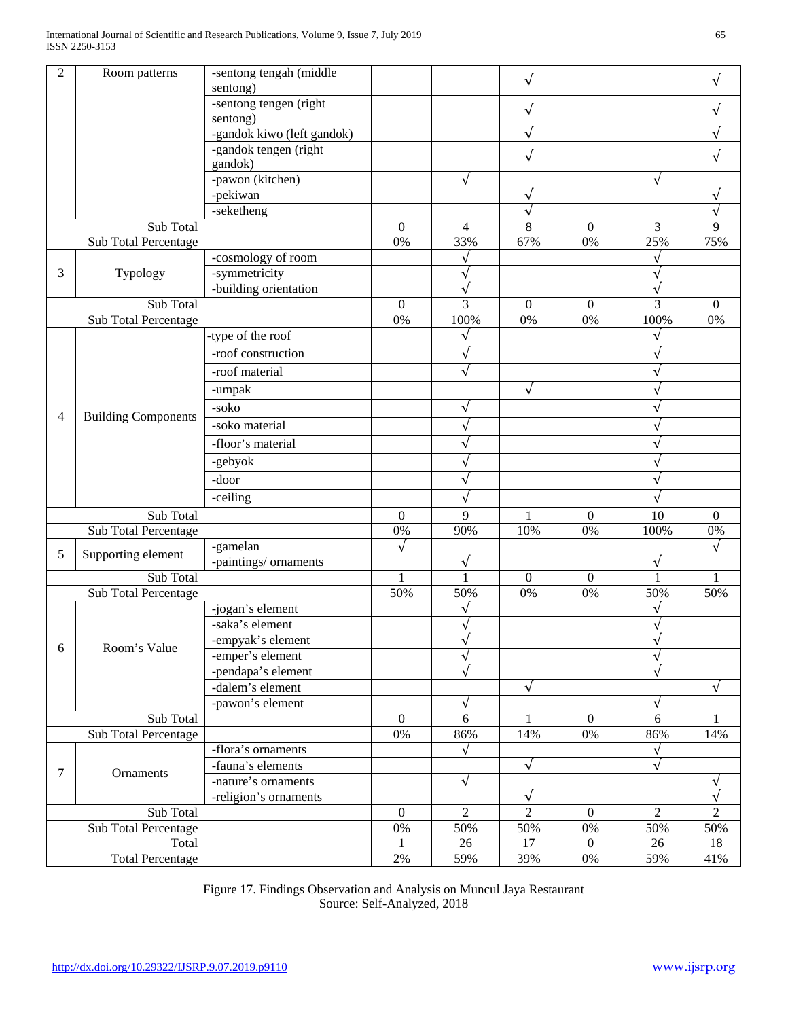| $\overline{2}$          | Room patterns              | -sentong tengah (middle    |                  |                | $\sqrt{ }$     |                  |                | $\sqrt{}$        |
|-------------------------|----------------------------|----------------------------|------------------|----------------|----------------|------------------|----------------|------------------|
|                         |                            | sentong)                   |                  |                |                |                  |                |                  |
|                         |                            | -sentong tengen (right     |                  |                | $\sqrt{ }$     |                  |                |                  |
|                         |                            | sentong)                   |                  |                |                |                  |                |                  |
|                         |                            | -gandok kiwo (left gandok) |                  |                |                |                  |                |                  |
|                         |                            | -gandok tengen (right      |                  |                | $\sqrt{ }$     |                  |                | $\sqrt{}$        |
|                         |                            | gandok)                    |                  |                |                |                  |                |                  |
|                         |                            | -pawon (kitchen)           |                  |                |                |                  |                |                  |
|                         |                            | -pekiwan                   |                  |                |                |                  |                |                  |
|                         |                            | -seketheng                 |                  |                | V              |                  |                | V                |
| Sub Total               |                            |                            | $\mathbf{0}$     | $\overline{4}$ | 8              | $\mathbf{0}$     | 3              | 9                |
|                         | Sub Total Percentage       |                            | 0%               | 33%            | 67%            | 0%               | 25%            | 75%              |
|                         |                            | -cosmology of room         |                  | $\sqrt{}$      |                |                  | $\sqrt{}$      |                  |
| 3                       | Typology                   | -symmetricity              |                  |                |                |                  | V              |                  |
|                         |                            | -building orientation      |                  | $\sqrt{}$      |                |                  | $\sqrt{ }$     |                  |
|                         | Sub Total                  |                            | $\mathbf{0}$     | 3              | $\mathbf{0}$   | $\mathbf{0}$     | 3              | $\boldsymbol{0}$ |
|                         | Sub Total Percentage       |                            | 0%               | 100%           | 0%             | 0%               | 100%           | 0%               |
|                         |                            | -type of the roof          |                  | $\sqrt{}$      |                |                  | $\sqrt{}$      |                  |
|                         |                            | -roof construction         |                  | $\sqrt{}$      |                |                  | ν              |                  |
|                         |                            | -roof material             |                  |                |                |                  | $\checkmark$   |                  |
|                         |                            | -umpak                     |                  |                | $\sqrt{ }$     |                  | $\sqrt{}$      |                  |
|                         |                            | -soko                      |                  |                |                |                  |                |                  |
| 4                       | <b>Building Components</b> | -soko material             |                  |                |                |                  |                |                  |
|                         |                            | -floor's material          |                  |                |                |                  |                |                  |
|                         |                            |                            |                  |                |                |                  | V              |                  |
|                         |                            | -gebyok                    |                  |                |                |                  |                |                  |
|                         |                            | -door                      |                  |                |                |                  | ν              |                  |
|                         |                            | -ceiling                   |                  |                |                |                  | $\sqrt{ }$     |                  |
| Sub Total               |                            |                            | $\boldsymbol{0}$ | 9              | 1              | $\mathbf{0}$     | 10             | $\boldsymbol{0}$ |
|                         | Sub Total Percentage       |                            | 0%               | 90%            | 10%            | 0%               | 100%           | 0%               |
| 5                       | Supporting element         | -gamelan                   |                  |                |                |                  |                |                  |
|                         |                            | -paintings/ornaments       |                  |                |                |                  |                |                  |
| Sub Total               |                            |                            |                  |                | $\Omega$       | $\overline{0}$   |                |                  |
|                         | Sub Total Percentage       |                            | 50%              | 50%            | 0%             | 0%               | 50%            | 50%              |
|                         |                            | -jogan's element           |                  |                |                |                  |                |                  |
|                         |                            | -saka's element            |                  |                |                |                  | $\sqrt{2}$     |                  |
|                         | Room's Value               | -empyak's element          |                  | v              |                |                  | $\sqrt{}$      |                  |
| 6                       |                            | -emper's element           |                  | $\sqrt{}$      |                |                  | $\sqrt{}$      |                  |
|                         |                            | -pendapa's element         |                  |                |                |                  |                |                  |
|                         |                            | -dalem's element           |                  |                | $\sqrt{ }$     |                  |                |                  |
|                         |                            | -pawon's element           |                  |                |                |                  | $\sqrt{}$      |                  |
| Sub Total               |                            | $\overline{0}$             | 6                |                | $\mathbf{0}$   | 6                |                |                  |
| Sub Total Percentage    |                            | 0%                         | 86%              | 14%            | 0%             | 86%              | 14%            |                  |
|                         |                            | -flora's ornaments         |                  |                |                |                  | $\sqrt{}$      |                  |
| $\tau$                  | Ornaments                  | -fauna's elements          |                  |                | $\sqrt{ }$     |                  | $\sqrt{2}$     |                  |
|                         |                            | -nature's ornaments        |                  | $\sqrt{}$      |                |                  |                | V                |
|                         |                            | -religion's ornaments      |                  |                | $\sqrt{}$      |                  |                | $\sqrt{}$        |
|                         | Sub Total                  |                            | 0                | $\overline{c}$ | $\overline{c}$ | $\boldsymbol{0}$ | $\overline{c}$ | $\overline{c}$   |
|                         | Sub Total Percentage       |                            | 0%               | 50%            | 50%            | $0\%$            | 50%            | 50%              |
|                         | Total                      |                            |                  | 26             | 17             | $\boldsymbol{0}$ | 26             | 18               |
| <b>Total Percentage</b> |                            |                            | $2\%$            | 59%            | 39%            | $0\%$            | 59%            | 41%              |

Figure 17. Findings Observation and Analysis on Muncul Jaya Restaurant Source: Self-Analyzed, 2018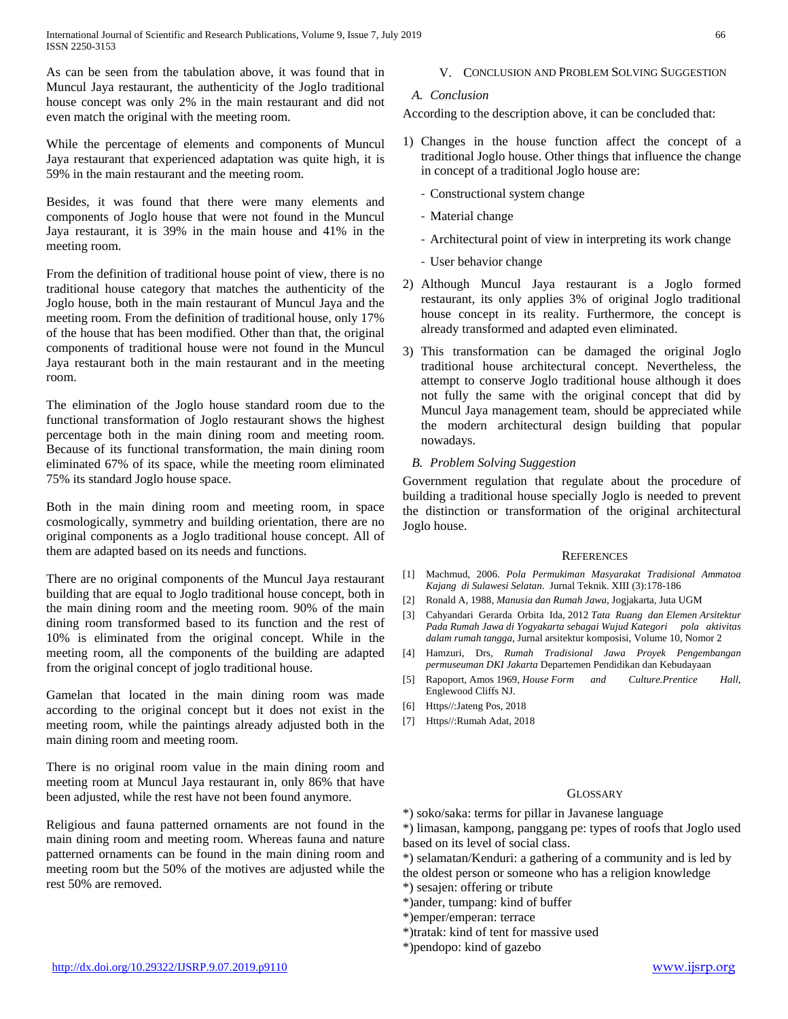As can be seen from the tabulation above, it was found that in Muncul Jaya restaurant, the authenticity of the Joglo traditional house concept was only 2% in the main restaurant and did not even match the original with the meeting room.

While the percentage of elements and components of Muncul Jaya restaurant that experienced adaptation was quite high, it is 59% in the main restaurant and the meeting room.

Besides, it was found that there were many elements and components of Joglo house that were not found in the Muncul Jaya restaurant, it is 39% in the main house and 41% in the meeting room.

From the definition of traditional house point of view, there is no traditional house category that matches the authenticity of the Joglo house, both in the main restaurant of Muncul Jaya and the meeting room. From the definition of traditional house, only 17% of the house that has been modified. Other than that, the original components of traditional house were not found in the Muncul Jaya restaurant both in the main restaurant and in the meeting room.

The elimination of the Joglo house standard room due to the functional transformation of Joglo restaurant shows the highest percentage both in the main dining room and meeting room. Because of its functional transformation, the main dining room eliminated 67% of its space, while the meeting room eliminated 75% its standard Joglo house space.

Both in the main dining room and meeting room, in space cosmologically, symmetry and building orientation, there are no original components as a Joglo traditional house concept. All of them are adapted based on its needs and functions.

There are no original components of the Muncul Jaya restaurant building that are equal to Joglo traditional house concept, both in the main dining room and the meeting room. 90% of the main dining room transformed based to its function and the rest of 10% is eliminated from the original concept. While in the meeting room, all the components of the building are adapted from the original concept of joglo traditional house.

Gamelan that located in the main dining room was made according to the original concept but it does not exist in the meeting room, while the paintings already adjusted both in the main dining room and meeting room.

There is no original room value in the main dining room and meeting room at Muncul Jaya restaurant in, only 86% that have been adjusted, while the rest have not been found anymore.

Religious and fauna patterned ornaments are not found in the main dining room and meeting room. Whereas fauna and nature patterned ornaments can be found in the main dining room and meeting room but the 50% of the motives are adjusted while the rest 50% are removed.

## V. CONCLUSION AND PROBLEM SOLVING SUGGESTION

## *A. Conclusion*

According to the description above, it can be concluded that:

- 1) Changes in the house function affect the concept of a traditional Joglo house. Other things that influence the change in concept of a traditional Joglo house are:
	- Constructional system change
	- Material change
	- Architectural point of view in interpreting its work change
	- User behavior change
- 2) Although Muncul Jaya restaurant is a Joglo formed restaurant, its only applies 3% of original Joglo traditional house concept in its reality. Furthermore, the concept is already transformed and adapted even eliminated.
- 3) This transformation can be damaged the original Joglo traditional house architectural concept. Nevertheless, the attempt to conserve Joglo traditional house although it does not fully the same with the original concept that did by Muncul Jaya management team, should be appreciated while the modern architectural design building that popular nowadays.

#### *B. Problem Solving Suggestion*

Government regulation that regulate about the procedure of building a traditional house specially Joglo is needed to prevent the distinction or transformation of the original architectural Joglo house.

#### **REFERENCES**

- [1] Machmud, 2006. *Pola Permukiman Masyarakat Tradisional Ammatoa Kajang di Sulawesi Selatan*. Jurnal Teknik. XIII (3):178-186
- [2] Ronald A, 1988, *Manusia dan Rumah Jawa*, Jogjakarta, Juta UGM
- [3] Cahyandari Gerarda Orbita Ida, 2012 *Tata Ruang dan Elemen Arsitektur Pada Rumah Jawa di Yogyakarta sebagai Wujud Kategori pola aktivitas dalam rumah tangga*, Jurnal arsitektur komposisi, Volume 10, Nomor 2
- [4] Hamzuri, Drs, *Rumah Tradisional Jawa Proyek Pengembangan permuseuman DKI Jakarta* Departemen Pendidikan dan Kebudayaan
- [5] Rapoport, Amos 1969, *House Form and Culture.Prentice Hall*, Englewood Cliffs NJ.
- [6] Https//:Jateng Pos, 2018
- [7] Https//:Rumah Adat, 2018

#### **GLOSSARY**

\*) soko/saka: terms for pillar in Javanese language

\*) limasan, kampong, panggang pe: types of roofs that Joglo used based on its level of social class.

\*) selamatan/Kenduri: a gathering of a community and is led by

- the oldest person or someone who has a religion knowledge
- \*) sesajen: offering or tribute
- \*)ander, tumpang: kind of buffer
- \*)emper/emperan: terrace
- \*)tratak: kind of tent for massive used
- \*)pendopo: kind of gazebo